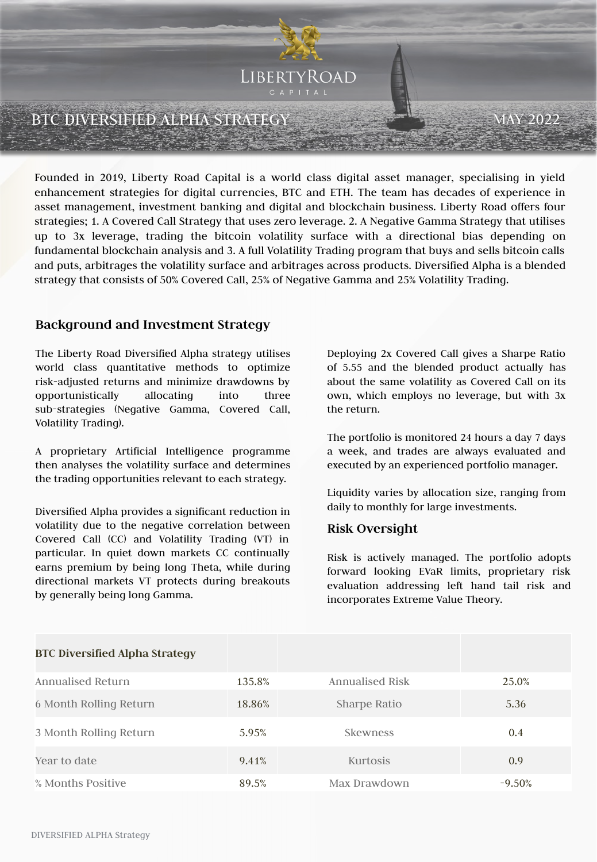

Founded in 2019, Liberty Road Capital is a world class digital asset manager, specialising in yield enhancement strategies for digital currencies, BTC and ETH. The team has decades of experience in asset management, investment banking and digital and blockchain business. Liberty Road offers four strategies; 1. A Covered Call Strategy that uses zero leverage. 2. A Negative Gamma Strategy that utilises up to 3x leverage, trading the bitcoin volatility surface with a directional bias depending on fundamental blockchain analysis and 3. A full Volatility Trading program that buys and sells bitcoin calls and puts, arbitrages the volatility surface and arbitrages across products. Diversified Alpha is a blended strategy that consists of 50% Covered Call, 25% of Negative Gamma and 25% Volatility Trading.

# **Background and Investment Strategy**

The Liberty Road Diversified Alpha strategy utilises world class quantitative methods to optimize risk-adjusted returns and minimize drawdowns by opportunistically allocating into three sub-strategies (Negative Gamma, Covered Call, Volatility Trading).

A proprietary Artificial Intelligence programme then analyses the volatility surface and determines the trading opportunities relevant to each strategy.

Diversified Alpha provides a significant reduction in volatility due to the negative correlation between Covered Call (CC) and Volatility Trading (VT) in particular. In quiet down markets CC continually earns premium by being long Theta, while during directional markets VT protects during breakouts by generally being long Gamma.

Deploying 2x Covered Call gives a Sharpe Ratio of 5.55 and the blended product actually has about the same volatility as Covered Call on its own, which employs no leverage, but with 3x the return.

The portfolio is monitored 24 hours a day 7 days a week, and trades are always evaluated and executed by an experienced portfolio manager.

Liquidity varies by allocation size, ranging from daily to monthly for large investments.

# **Risk Oversight**

Risk is actively managed. The portfolio adopts forward looking EVaR limits, proprietary risk evaluation addressing left hand tail risk and incorporates Extreme Value Theory.

| <b>BTC Diversified Alpha Strategy</b> |        |                        |           |
|---------------------------------------|--------|------------------------|-----------|
| Annualised Return                     | 135.8% | <b>Annualised Risk</b> | 25.0%     |
| 6 Month Rolling Return                | 18.86% | Sharpe Ratio           | 5.36      |
| 3 Month Rolling Return                | 5.95%  | <b>Skewness</b>        | 0.4       |
| Year to date                          | 9.41%  | Kurtosis               | 0.9       |
| % Months Positive                     | 89.5%  | Max Drawdown           | $-9.50\%$ |